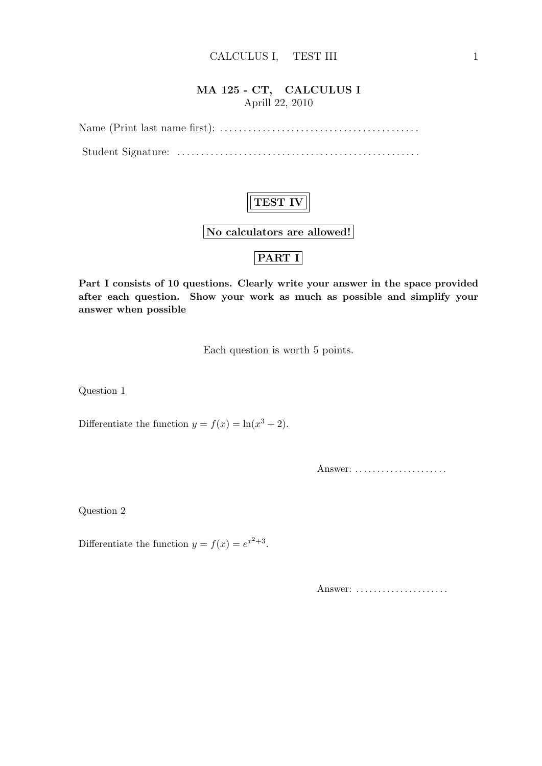### MA 125 - CT, CALCULUS I Aprill 22, 2010

Name (Print last name first): . . . . . . . . . . . . . . . . . . . . . . . . . . . . . . . . . . . . . . . . . . Student Signature: . . . . . . . . . . . . . . . . . . . . . . . . . . . . . . . . . . . . . . . . . . . . . . . . . . .

## TEST IV

No calculators are allowed!

## PART I

Part I consists of 10 questions. Clearly write your answer in the space provided after each question. Show your work as much as possible and simplify your answer when possible

Each question is worth 5 points.

Question 1

Differentiate the function  $y = f(x) = \ln(x^3 + 2)$ .

Answer: ......................

Question 2

Differentiate the function  $y = f(x) = e^{x^2+3}$ .

Answer: ......................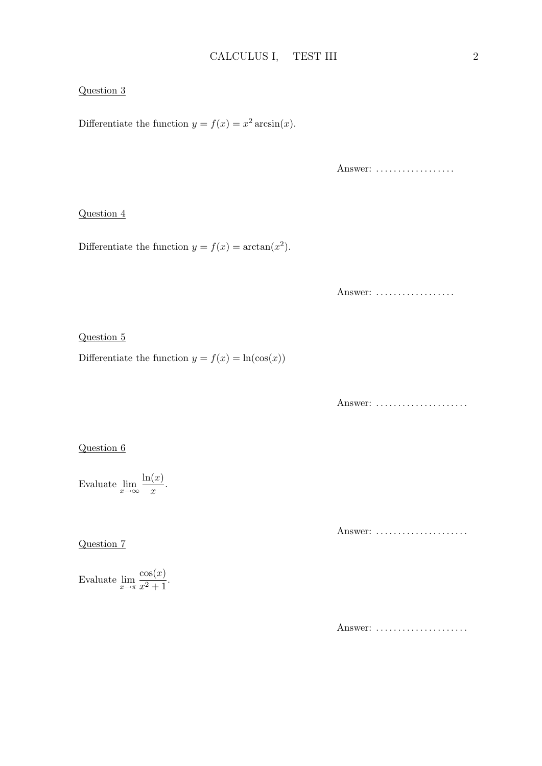#### Question 3

Differentiate the function  $y = f(x) = x^2 \arcsin(x)$ .

Answer: ..................

#### Question 4

Differentiate the function  $y = f(x) = \arctan(x^2)$ .

Answer: ..................

Question 5

Differentiate the function  $y = f(x) = \ln(\cos(x))$ 

Answer: .....................

#### Question 6

Evaluate  $\lim_{x \to \infty} \frac{\ln(x)}{x}$  $\frac{x}{x}$ .

Question 7

Answer: ......................

Evaluate  $\lim_{x \to \pi} \frac{\cos(x)}{x^2 + 1}$  $\frac{\cos(x)}{x^2+1}$ .

Answer: ......................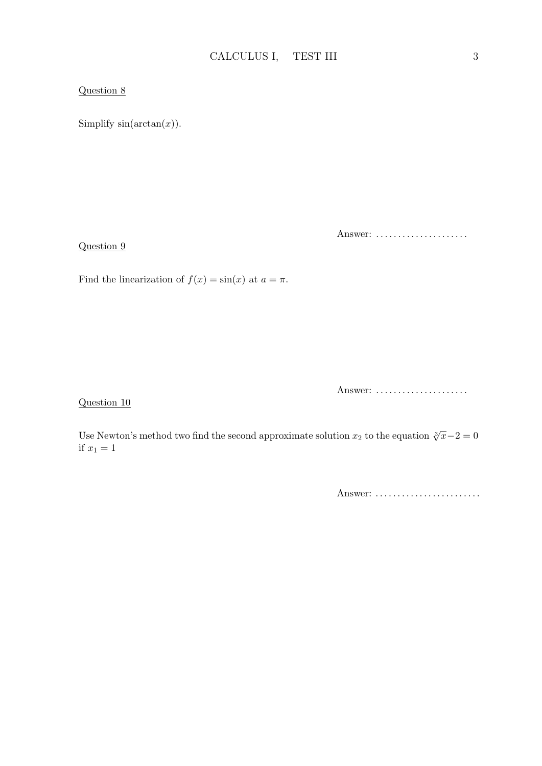#### Question 8

Question 9

Simplify  $sin(arctan(x))$ .

Answer: ......................

Find the linearization of  $f(x) = \sin(x)$  at  $a = \pi$ .

Question 10

Answer: ......................

Use Newton's method two find the second approximate solution  $x_2$  to the equation  $\sqrt[3]{x}-2=0$ if  $x_1 = 1$ 

Answer: ..........................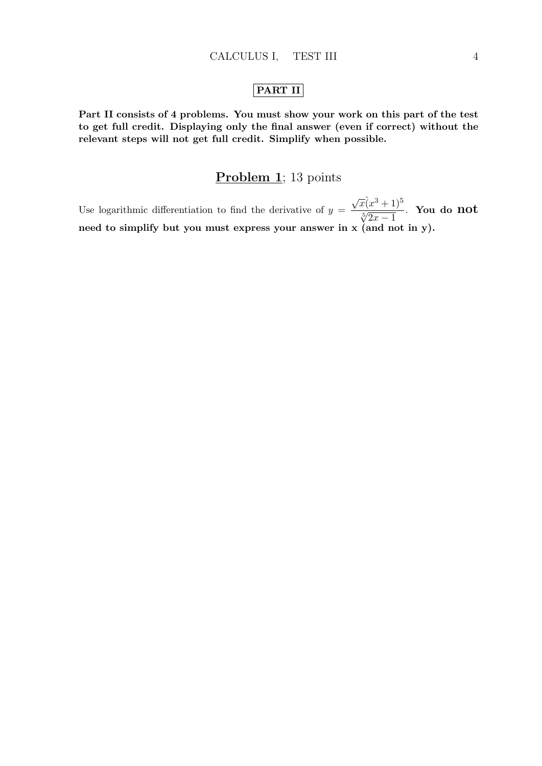### PART II

Part II consists of 4 problems. You must show your work on this part of the test to get full credit. Displaying only the final answer (even if correct) without the relevant steps will not get full credit. Simplify when possible.

### Problem 1; 13 points

Use logarithmic differentiation to find the derivative of  $y =$  $\sqrt{x}(x^3+1)^5$  $\frac{x(x^2+1)}{\sqrt[5]{2x-1}}$ . You do not need to simplify but you must express your answer in x (and not in y).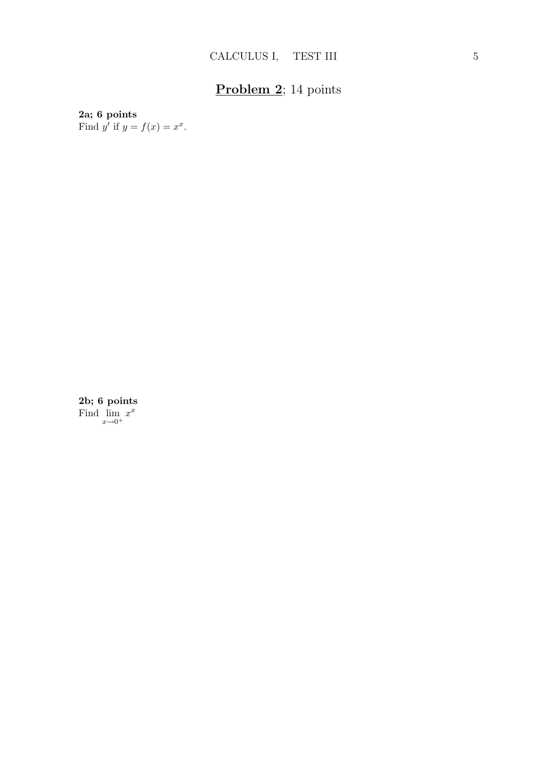# Problem 2; 14 points

### 2a; 6 points

Find y' if  $y = f(x) = x^x$ .

2b; 6 points Find  $\lim_{x\to 0^+} x^x$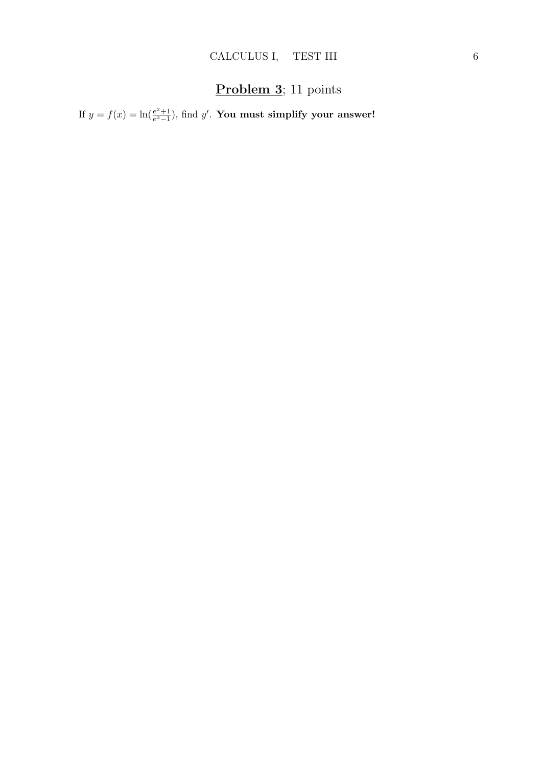## Problem 3; 11 points

If  $y = f(x) = \ln(\frac{e^x + 1}{e^x - 1})$  $\frac{e^x+1}{e^x-1}$ ), find  $y'$ . You must simplify your answer!